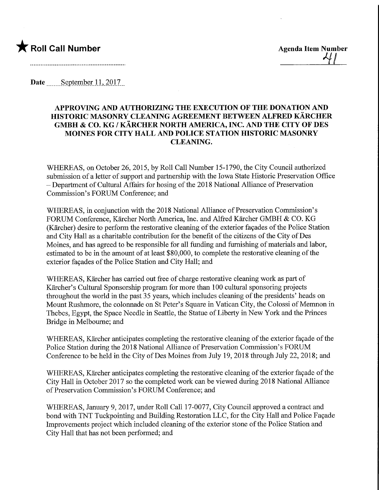

Date September 11, 2017

## APPROVING AND AUTHORIZING THE EXECUTION OF THE DONATION AND HISTORIC MASONRY CLEANING AGREEMENT BETWEEN ALFRED KARCHER GMBH & CO. KG / KARCHER NORTH AMERICA, INC. AND THE CITY OF DES MOINES FOR CITY HALL AND POLICE STATION HISTORIC MASONRY CLEANING.

WHEREAS, on October 26, 2015, by Roll Call Number 15-1790, the City Council authorized submission of a letter of support and partnership with the Iowa State Historic Preservation Office - Department of Cultural Affairs for hosing of the 2018 National Alliance of Preservation Commission's FORUM Conference; and

WHEREAS, in conjunction with the 2018 National Alliance of Preservation Commission's FORUM Conference, Kärcher North America, Inc. and Alfred Kärcher GMBH & CO. KG (Karcher) desire to perform the restorative cleaning of the exterior facades of the Police Station and City Hall as a charitable contribution for the benefit of the citizens of the City of Des Moines, and has agreed to be responsible for all funding and furnishing of materials and labor, estimated to be in the amount of at least \$80,000, to complete the restorative cleaning of the exterior façades of the Police Station and City Hall; and

WHEREAS, Kärcher has carried out free of charge restorative cleaning work as part of Karcher's Cultural Sponsorship program for more than 100 cultural sponsoring projects throughout the world in the past 35 years, which includes cleaning of the presidents' heads on Mount Rushmore, the colonnade on St Peter's Square in Vatican City, the Colossi of Memnon in Thebes, Egypt, the Space Needle in Seattle, the Statue of Liberty in New York and the Princes Bridge in Melbourne; and

WHEREAS, Kärcher anticipates completing the restorative cleaning of the exterior facade of the Police Station during the 2018 National Alliance of Preservation Commission's FORUM Conference to be held in the City of Des Moines from July 19, 2018 through July 22, 2018; and

WHEREAS, Kärcher anticipates completing the restorative cleaning of the exterior façade of the City Hall in October 2017 so the completed work can be viewed during 2018 National Alliance of Preservation Commission's FORUM Conference; and

WHEREAS, January 9, 2017, under Roll Call 17-0077, City Council approved a contract and bond with TNT Tuckpointing and Building Restoration LLC, for the City Hall and Police Façade Improvements project which included cleaning of the exterior stone of the Police Station and City Hall that has not been performed; and